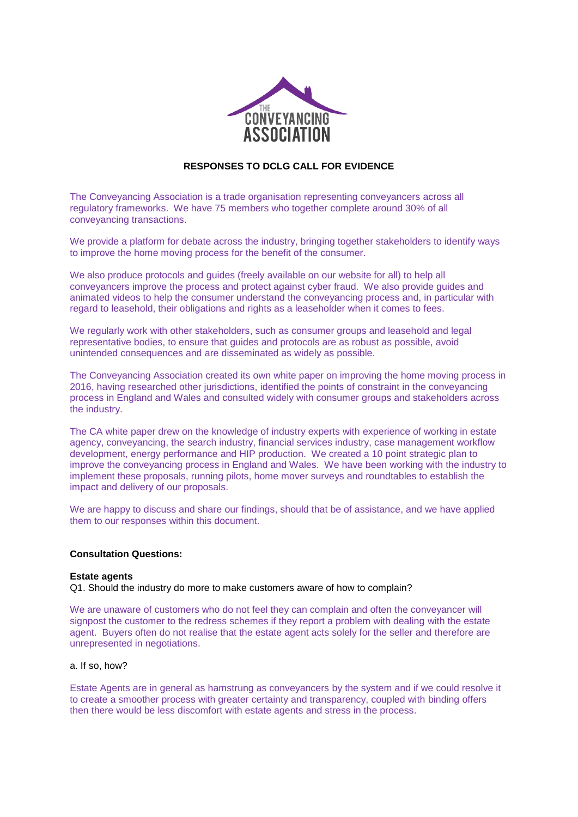

# **RESPONSES TO DCLG CALL FOR EVIDENCE**

The Conveyancing Association is a trade organisation representing conveyancers across all regulatory frameworks. We have 75 members who together complete around 30% of all conveyancing transactions.

We provide a platform for debate across the industry, bringing together stakeholders to identify ways to improve the home moving process for the benefit of the consumer.

We also produce protocols and guides (freely available on our website for all) to help all conveyancers improve the process and protect against cyber fraud. We also provide guides and animated videos to help the consumer understand the conveyancing process and, in particular with regard to leasehold, their obligations and rights as a leaseholder when it comes to fees.

We regularly work with other stakeholders, such as consumer groups and leasehold and legal representative bodies, to ensure that guides and protocols are as robust as possible, avoid unintended consequences and are disseminated as widely as possible.

The Conveyancing Association created its own white paper on improving the home moving process in 2016, having researched other jurisdictions, identified the points of constraint in the conveyancing process in England and Wales and consulted widely with consumer groups and stakeholders across the industry.

The CA white paper drew on the knowledge of industry experts with experience of working in estate agency, conveyancing, the search industry, financial services industry, case management workflow development, energy performance and HIP production. We created a 10 point strategic plan to improve the conveyancing process in England and Wales. We have been working with the industry to implement these proposals, running pilots, home mover surveys and roundtables to establish the impact and delivery of our proposals.

We are happy to discuss and share our findings, should that be of assistance, and we have applied them to our responses within this document.

# **Consultation Questions:**

#### **Estate agents**

Q1. Should the industry do more to make customers aware of how to complain?

We are unaware of customers who do not feel they can complain and often the conveyancer will signpost the customer to the redress schemes if they report a problem with dealing with the estate agent. Buyers often do not realise that the estate agent acts solely for the seller and therefore are unrepresented in negotiations.

# a. If so, how?

Estate Agents are in general as hamstrung as conveyancers by the system and if we could resolve it to create a smoother process with greater certainty and transparency, coupled with binding offers then there would be less discomfort with estate agents and stress in the process.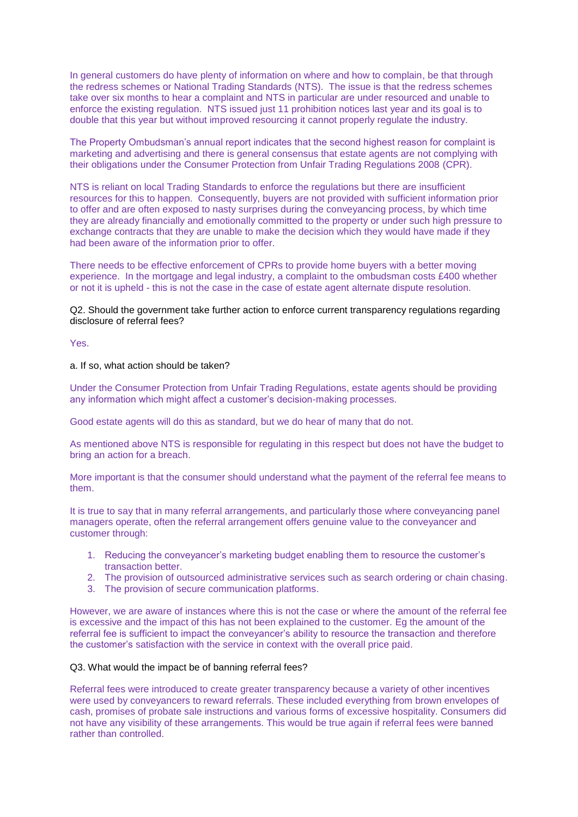In general customers do have plenty of information on where and how to complain, be that through the redress schemes or National Trading Standards (NTS). The issue is that the redress schemes take over six months to hear a complaint and NTS in particular are under resourced and unable to enforce the existing regulation. NTS issued just 11 prohibition notices last year and its goal is to double that this year but without improved resourcing it cannot properly regulate the industry.

The Property Ombudsman's annual report indicates that the second highest reason for complaint is marketing and advertising and there is general consensus that estate agents are not complying with their obligations under the Consumer Protection from Unfair Trading Regulations 2008 (CPR).

NTS is reliant on local Trading Standards to enforce the regulations but there are insufficient resources for this to happen. Consequently, buyers are not provided with sufficient information prior to offer and are often exposed to nasty surprises during the conveyancing process, by which time they are already financially and emotionally committed to the property or under such high pressure to exchange contracts that they are unable to make the decision which they would have made if they had been aware of the information prior to offer.

There needs to be effective enforcement of CPRs to provide home buyers with a better moving experience. In the mortgage and legal industry, a complaint to the ombudsman costs £400 whether or not it is upheld - this is not the case in the case of estate agent alternate dispute resolution.

Q2. Should the government take further action to enforce current transparency regulations regarding disclosure of referral fees?

Yes.

a. If so, what action should be taken?

Under the Consumer Protection from Unfair Trading Regulations, estate agents should be providing any information which might affect a customer's decision-making processes.

Good estate agents will do this as standard, but we do hear of many that do not.

As mentioned above NTS is responsible for regulating in this respect but does not have the budget to bring an action for a breach.

More important is that the consumer should understand what the payment of the referral fee means to them.

It is true to say that in many referral arrangements, and particularly those where conveyancing panel managers operate, often the referral arrangement offers genuine value to the conveyancer and customer through:

- 1. Reducing the conveyancer's marketing budget enabling them to resource the customer's transaction better.
- 2. The provision of outsourced administrative services such as search ordering or chain chasing.
- 3. The provision of secure communication platforms.

However, we are aware of instances where this is not the case or where the amount of the referral fee is excessive and the impact of this has not been explained to the customer. Eg the amount of the referral fee is sufficient to impact the conveyancer's ability to resource the transaction and therefore the customer's satisfaction with the service in context with the overall price paid.

## Q3. What would the impact be of banning referral fees?

Referral fees were introduced to create greater transparency because a variety of other incentives were used by conveyancers to reward referrals. These included everything from brown envelopes of cash, promises of probate sale instructions and various forms of excessive hospitality. Consumers did not have any visibility of these arrangements. This would be true again if referral fees were banned rather than controlled.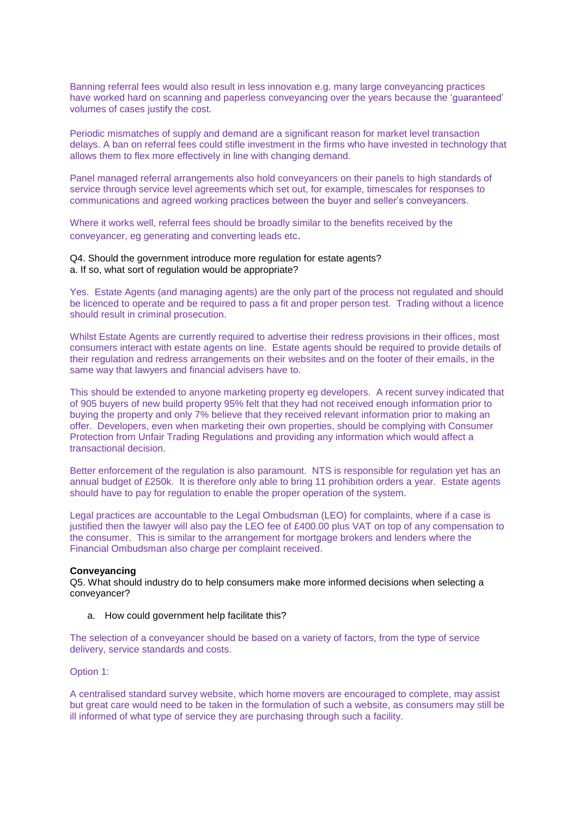Banning referral fees would also result in less innovation e.g. many large conveyancing practices have worked hard on scanning and paperless conveyancing over the years because the 'guaranteed' volumes of cases justify the cost.

Periodic mismatches of supply and demand are a significant reason for market level transaction delays. A ban on referral fees could stifle investment in the firms who have invested in technology that allows them to flex more effectively in line with changing demand.

Panel managed referral arrangements also hold conveyancers on their panels to high standards of service through service level agreements which set out, for example, timescales for responses to communications and agreed working practices between the buyer and seller's conveyancers.

Where it works well, referral fees should be broadly similar to the benefits received by the conveyancer, eg generating and converting leads etc.

## Q4. Should the government introduce more regulation for estate agents? a. If so, what sort of regulation would be appropriate?

Yes. Estate Agents (and managing agents) are the only part of the process not regulated and should be licenced to operate and be required to pass a fit and proper person test. Trading without a licence should result in criminal prosecution.

Whilst Estate Agents are currently required to advertise their redress provisions in their offices, most consumers interact with estate agents on line. Estate agents should be required to provide details of their regulation and redress arrangements on their websites and on the footer of their emails, in the same way that lawyers and financial advisers have to.

This should be extended to anyone marketing property eg developers. A recent survey indicated that of 905 buyers of new build property 95% felt that they had not received enough information prior to buying the property and only 7% believe that they received relevant information prior to making an offer. Developers, even when marketing their own properties, should be complying with Consumer Protection from Unfair Trading Regulations and providing any information which would affect a transactional decision.

Better enforcement of the regulation is also paramount. NTS is responsible for regulation yet has an annual budget of £250k. It is therefore only able to bring 11 prohibition orders a year. Estate agents should have to pay for regulation to enable the proper operation of the system.

Legal practices are accountable to the Legal Ombudsman (LEO) for complaints, where if a case is justified then the lawyer will also pay the LEO fee of £400.00 plus VAT on top of any compensation to the consumer. This is similar to the arrangement for mortgage brokers and lenders where the Financial Ombudsman also charge per complaint received.

## **Conveyancing**

Q5. What should industry do to help consumers make more informed decisions when selecting a conveyancer?

a. How could government help facilitate this?

The selection of a conveyancer should be based on a variety of factors, from the type of service delivery, service standards and costs.

Option 1:

A centralised standard survey website, which home movers are encouraged to complete, may assist but great care would need to be taken in the formulation of such a website, as consumers may still be ill informed of what type of service they are purchasing through such a facility.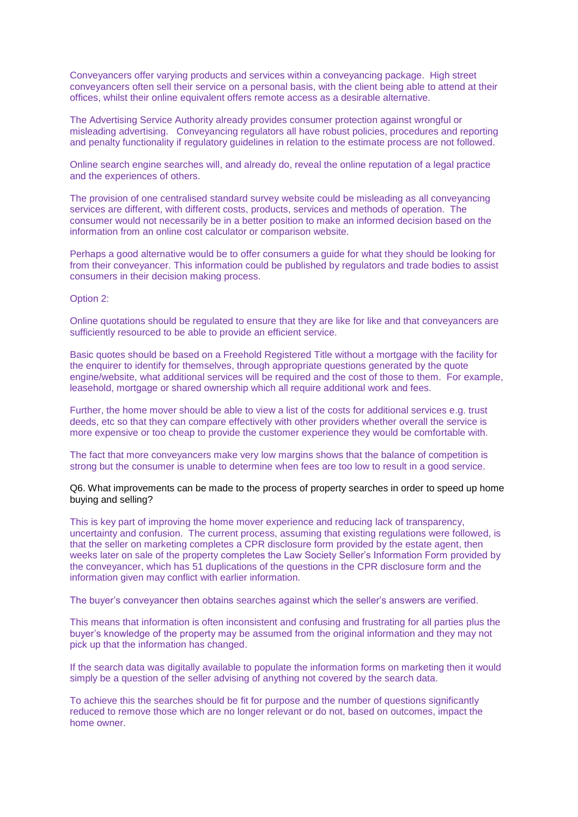Conveyancers offer varying products and services within a conveyancing package. High street conveyancers often sell their service on a personal basis, with the client being able to attend at their offices, whilst their online equivalent offers remote access as a desirable alternative.

The Advertising Service Authority already provides consumer protection against wrongful or misleading advertising. Conveyancing regulators all have robust policies, procedures and reporting and penalty functionality if regulatory guidelines in relation to the estimate process are not followed.

Online search engine searches will, and already do, reveal the online reputation of a legal practice and the experiences of others.

The provision of one centralised standard survey website could be misleading as all conveyancing services are different, with different costs, products, services and methods of operation. The consumer would not necessarily be in a better position to make an informed decision based on the information from an online cost calculator or comparison website.

Perhaps a good alternative would be to offer consumers a guide for what they should be looking for from their conveyancer. This information could be published by regulators and trade bodies to assist consumers in their decision making process.

Option 2:

Online quotations should be regulated to ensure that they are like for like and that conveyancers are sufficiently resourced to be able to provide an efficient service.

Basic quotes should be based on a Freehold Registered Title without a mortgage with the facility for the enquirer to identify for themselves, through appropriate questions generated by the quote engine/website, what additional services will be required and the cost of those to them. For example, leasehold, mortgage or shared ownership which all require additional work and fees.

Further, the home mover should be able to view a list of the costs for additional services e.g. trust deeds, etc so that they can compare effectively with other providers whether overall the service is more expensive or too cheap to provide the customer experience they would be comfortable with.

The fact that more conveyancers make very low margins shows that the balance of competition is strong but the consumer is unable to determine when fees are too low to result in a good service.

Q6. What improvements can be made to the process of property searches in order to speed up home buying and selling?

This is key part of improving the home mover experience and reducing lack of transparency, uncertainty and confusion. The current process, assuming that existing regulations were followed, is that the seller on marketing completes a CPR disclosure form provided by the estate agent, then weeks later on sale of the property completes the Law Society Seller's Information Form provided by the conveyancer, which has 51 duplications of the questions in the CPR disclosure form and the information given may conflict with earlier information.

The buyer's conveyancer then obtains searches against which the seller's answers are verified.

This means that information is often inconsistent and confusing and frustrating for all parties plus the buyer's knowledge of the property may be assumed from the original information and they may not pick up that the information has changed.

If the search data was digitally available to populate the information forms on marketing then it would simply be a question of the seller advising of anything not covered by the search data.

To achieve this the searches should be fit for purpose and the number of questions significantly reduced to remove those which are no longer relevant or do not, based on outcomes, impact the home owner.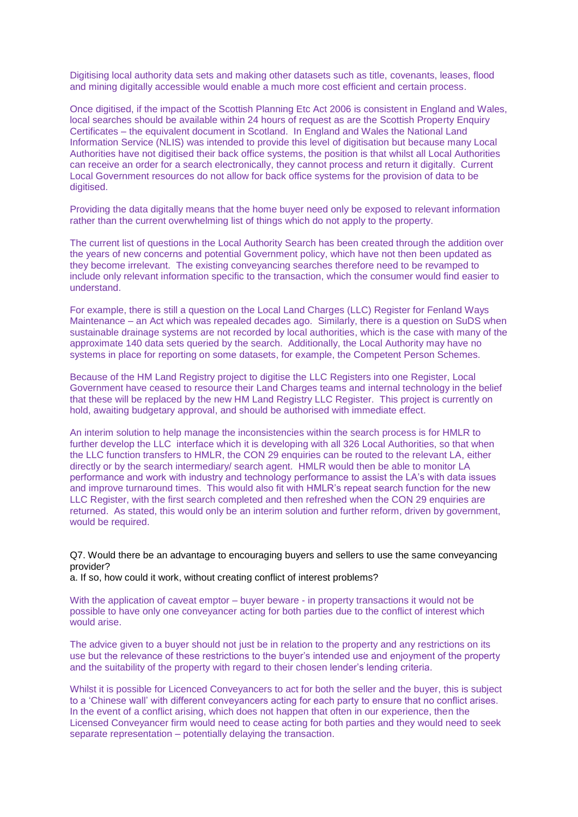Digitising local authority data sets and making other datasets such as title, covenants, leases, flood and mining digitally accessible would enable a much more cost efficient and certain process.

Once digitised, if the impact of the Scottish Planning Etc Act 2006 is consistent in England and Wales, local searches should be available within 24 hours of request as are the Scottish Property Enquiry Certificates – the equivalent document in Scotland. In England and Wales the National Land Information Service (NLIS) was intended to provide this level of digitisation but because many Local Authorities have not digitised their back office systems, the position is that whilst all Local Authorities can receive an order for a search electronically, they cannot process and return it digitally. Current Local Government resources do not allow for back office systems for the provision of data to be digitised.

Providing the data digitally means that the home buyer need only be exposed to relevant information rather than the current overwhelming list of things which do not apply to the property.

The current list of questions in the Local Authority Search has been created through the addition over the years of new concerns and potential Government policy, which have not then been updated as they become irrelevant. The existing conveyancing searches therefore need to be revamped to include only relevant information specific to the transaction, which the consumer would find easier to understand.

For example, there is still a question on the Local Land Charges (LLC) Register for Fenland Ways Maintenance – an Act which was repealed decades ago. Similarly, there is a question on SuDS when sustainable drainage systems are not recorded by local authorities, which is the case with many of the approximate 140 data sets queried by the search. Additionally, the Local Authority may have no systems in place for reporting on some datasets, for example, the Competent Person Schemes.

Because of the HM Land Registry project to digitise the LLC Registers into one Register, Local Government have ceased to resource their Land Charges teams and internal technology in the belief that these will be replaced by the new HM Land Registry LLC Register. This project is currently on hold, awaiting budgetary approval, and should be authorised with immediate effect.

An interim solution to help manage the inconsistencies within the search process is for HMLR to further develop the LLC interface which it is developing with all 326 Local Authorities, so that when the LLC function transfers to HMLR, the CON 29 enquiries can be routed to the relevant LA, either directly or by the search intermediary/ search agent. HMLR would then be able to monitor LA performance and work with industry and technology performance to assist the LA's with data issues and improve turnaround times. This would also fit with HMLR's repeat search function for the new LLC Register, with the first search completed and then refreshed when the CON 29 enquiries are returned. As stated, this would only be an interim solution and further reform, driven by government, would be required.

Q7. Would there be an advantage to encouraging buyers and sellers to use the same conveyancing provider?

a. If so, how could it work, without creating conflict of interest problems?

With the application of caveat emptor – buyer beware - in property transactions it would not be possible to have only one conveyancer acting for both parties due to the conflict of interest which would arise.

The advice given to a buyer should not just be in relation to the property and any restrictions on its use but the relevance of these restrictions to the buyer's intended use and enjoyment of the property and the suitability of the property with regard to their chosen lender's lending criteria.

Whilst it is possible for Licenced Conveyancers to act for both the seller and the buyer, this is subject to a 'Chinese wall' with different conveyancers acting for each party to ensure that no conflict arises. In the event of a conflict arising, which does not happen that often in our experience, then the Licensed Conveyancer firm would need to cease acting for both parties and they would need to seek separate representation – potentially delaying the transaction.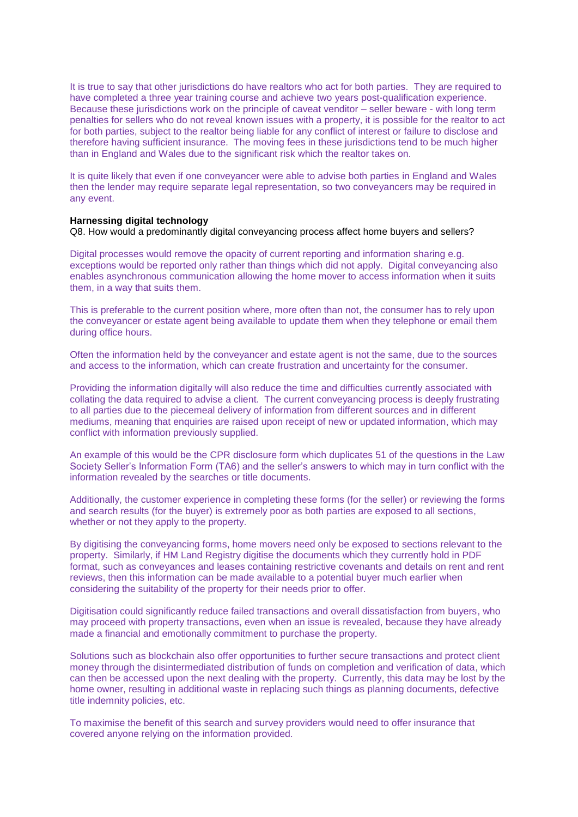It is true to say that other jurisdictions do have realtors who act for both parties. They are required to have completed a three year training course and achieve two years post-qualification experience. Because these jurisdictions work on the principle of caveat venditor – seller beware - with long term penalties for sellers who do not reveal known issues with a property, it is possible for the realtor to act for both parties, subject to the realtor being liable for any conflict of interest or failure to disclose and therefore having sufficient insurance. The moving fees in these jurisdictions tend to be much higher than in England and Wales due to the significant risk which the realtor takes on.

It is quite likely that even if one conveyancer were able to advise both parties in England and Wales then the lender may require separate legal representation, so two conveyancers may be required in any event.

#### **Harnessing digital technology**

Q8. How would a predominantly digital conveyancing process affect home buyers and sellers?

Digital processes would remove the opacity of current reporting and information sharing e.g. exceptions would be reported only rather than things which did not apply. Digital conveyancing also enables asynchronous communication allowing the home mover to access information when it suits them, in a way that suits them.

This is preferable to the current position where, more often than not, the consumer has to rely upon the conveyancer or estate agent being available to update them when they telephone or email them during office hours.

Often the information held by the conveyancer and estate agent is not the same, due to the sources and access to the information, which can create frustration and uncertainty for the consumer.

Providing the information digitally will also reduce the time and difficulties currently associated with collating the data required to advise a client. The current conveyancing process is deeply frustrating to all parties due to the piecemeal delivery of information from different sources and in different mediums, meaning that enquiries are raised upon receipt of new or updated information, which may conflict with information previously supplied.

An example of this would be the CPR disclosure form which duplicates 51 of the questions in the Law Society Seller's Information Form (TA6) and the seller's answers to which may in turn conflict with the information revealed by the searches or title documents.

Additionally, the customer experience in completing these forms (for the seller) or reviewing the forms and search results (for the buyer) is extremely poor as both parties are exposed to all sections, whether or not they apply to the property.

By digitising the conveyancing forms, home movers need only be exposed to sections relevant to the property. Similarly, if HM Land Registry digitise the documents which they currently hold in PDF format, such as conveyances and leases containing restrictive covenants and details on rent and rent reviews, then this information can be made available to a potential buyer much earlier when considering the suitability of the property for their needs prior to offer.

Digitisation could significantly reduce failed transactions and overall dissatisfaction from buyers, who may proceed with property transactions, even when an issue is revealed, because they have already made a financial and emotionally commitment to purchase the property.

Solutions such as blockchain also offer opportunities to further secure transactions and protect client money through the disintermediated distribution of funds on completion and verification of data, which can then be accessed upon the next dealing with the property. Currently, this data may be lost by the home owner, resulting in additional waste in replacing such things as planning documents, defective title indemnity policies, etc.

To maximise the benefit of this search and survey providers would need to offer insurance that covered anyone relying on the information provided.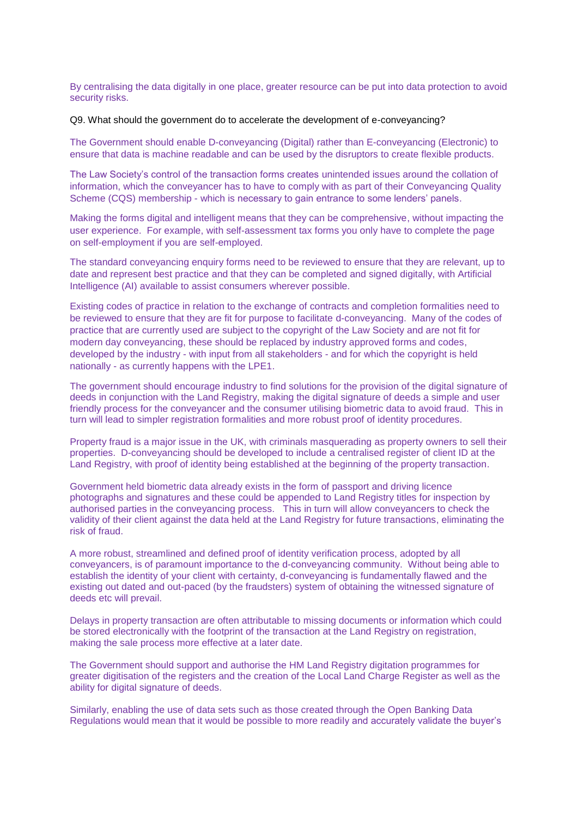By centralising the data digitally in one place, greater resource can be put into data protection to avoid security risks.

Q9. What should the government do to accelerate the development of e-conveyancing?

The Government should enable D-conveyancing (Digital) rather than E-conveyancing (Electronic) to ensure that data is machine readable and can be used by the disruptors to create flexible products.

The Law Society's control of the transaction forms creates unintended issues around the collation of information, which the conveyancer has to have to comply with as part of their Conveyancing Quality Scheme (CQS) membership - which is necessary to gain entrance to some lenders' panels.

Making the forms digital and intelligent means that they can be comprehensive, without impacting the user experience. For example, with self-assessment tax forms you only have to complete the page on self-employment if you are self-employed.

The standard conveyancing enquiry forms need to be reviewed to ensure that they are relevant, up to date and represent best practice and that they can be completed and signed digitally, with Artificial Intelligence (AI) available to assist consumers wherever possible.

Existing codes of practice in relation to the exchange of contracts and completion formalities need to be reviewed to ensure that they are fit for purpose to facilitate d-conveyancing. Many of the codes of practice that are currently used are subject to the copyright of the Law Society and are not fit for modern day conveyancing, these should be replaced by industry approved forms and codes, developed by the industry - with input from all stakeholders - and for which the copyright is held nationally - as currently happens with the LPE1.

The government should encourage industry to find solutions for the provision of the digital signature of deeds in conjunction with the Land Registry, making the digital signature of deeds a simple and user friendly process for the conveyancer and the consumer utilising biometric data to avoid fraud. This in turn will lead to simpler registration formalities and more robust proof of identity procedures.

Property fraud is a major issue in the UK, with criminals masquerading as property owners to sell their properties. D-conveyancing should be developed to include a centralised register of client ID at the Land Registry, with proof of identity being established at the beginning of the property transaction.

Government held biometric data already exists in the form of passport and driving licence photographs and signatures and these could be appended to Land Registry titles for inspection by authorised parties in the conveyancing process. This in turn will allow conveyancers to check the validity of their client against the data held at the Land Registry for future transactions, eliminating the risk of fraud.

A more robust, streamlined and defined proof of identity verification process, adopted by all conveyancers, is of paramount importance to the d-conveyancing community. Without being able to establish the identity of your client with certainty, d-conveyancing is fundamentally flawed and the existing out dated and out-paced (by the fraudsters) system of obtaining the witnessed signature of deeds etc will prevail.

Delays in property transaction are often attributable to missing documents or information which could be stored electronically with the footprint of the transaction at the Land Registry on registration, making the sale process more effective at a later date.

The Government should support and authorise the HM Land Registry digitation programmes for greater digitisation of the registers and the creation of the Local Land Charge Register as well as the ability for digital signature of deeds.

Similarly, enabling the use of data sets such as those created through the Open Banking Data Regulations would mean that it would be possible to more readily and accurately validate the buyer's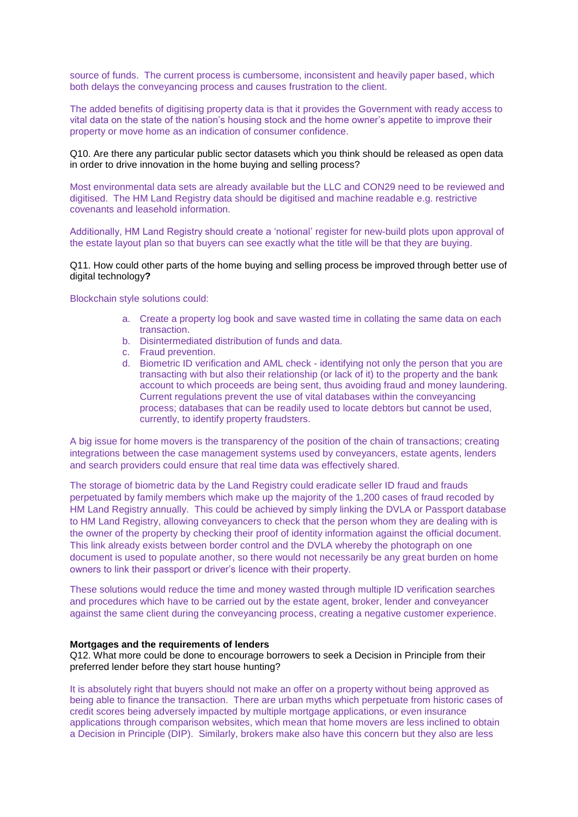source of funds. The current process is cumbersome, inconsistent and heavily paper based, which both delays the conveyancing process and causes frustration to the client.

The added benefits of digitising property data is that it provides the Government with ready access to vital data on the state of the nation's housing stock and the home owner's appetite to improve their property or move home as an indication of consumer confidence.

# Q10. Are there any particular public sector datasets which you think should be released as open data in order to drive innovation in the home buying and selling process?

Most environmental data sets are already available but the LLC and CON29 need to be reviewed and digitised. The HM Land Registry data should be digitised and machine readable e.g. restrictive covenants and leasehold information.

Additionally, HM Land Registry should create a 'notional' register for new-build plots upon approval of the estate layout plan so that buyers can see exactly what the title will be that they are buying.

Q11. How could other parts of the home buying and selling process be improved through better use of digital technology**?** 

#### Blockchain style solutions could:

- a. Create a property log book and save wasted time in collating the same data on each transaction.
- b. Disintermediated distribution of funds and data.
- c. Fraud prevention.
- d. Biometric ID verification and AML check identifying not only the person that you are transacting with but also their relationship (or lack of it) to the property and the bank account to which proceeds are being sent, thus avoiding fraud and money laundering. Current regulations prevent the use of vital databases within the conveyancing process; databases that can be readily used to locate debtors but cannot be used, currently, to identify property fraudsters.

A big issue for home movers is the transparency of the position of the chain of transactions; creating integrations between the case management systems used by conveyancers, estate agents, lenders and search providers could ensure that real time data was effectively shared.

The storage of biometric data by the Land Registry could eradicate seller ID fraud and frauds perpetuated by family members which make up the majority of the 1,200 cases of fraud recoded by HM Land Registry annually. This could be achieved by simply linking the DVLA or Passport database to HM Land Registry, allowing conveyancers to check that the person whom they are dealing with is the owner of the property by checking their proof of identity information against the official document. This link already exists between border control and the DVLA whereby the photograph on one document is used to populate another, so there would not necessarily be any great burden on home owners to link their passport or driver's licence with their property.

These solutions would reduce the time and money wasted through multiple ID verification searches and procedures which have to be carried out by the estate agent, broker, lender and conveyancer against the same client during the conveyancing process, creating a negative customer experience.

## **Mortgages and the requirements of lenders**

Q12. What more could be done to encourage borrowers to seek a Decision in Principle from their preferred lender before they start house hunting?

It is absolutely right that buyers should not make an offer on a property without being approved as being able to finance the transaction. There are urban myths which perpetuate from historic cases of credit scores being adversely impacted by multiple mortgage applications, or even insurance applications through comparison websites, which mean that home movers are less inclined to obtain a Decision in Principle (DIP). Similarly, brokers make also have this concern but they also are less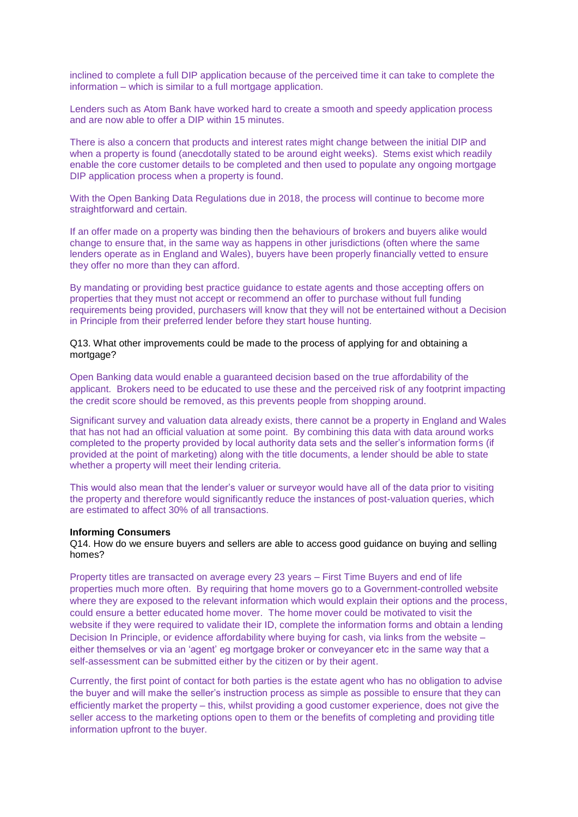inclined to complete a full DIP application because of the perceived time it can take to complete the information – which is similar to a full mortgage application.

Lenders such as Atom Bank have worked hard to create a smooth and speedy application process and are now able to offer a DIP within 15 minutes.

There is also a concern that products and interest rates might change between the initial DIP and when a property is found (anecdotally stated to be around eight weeks). Stems exist which readily enable the core customer details to be completed and then used to populate any ongoing mortgage DIP application process when a property is found.

With the Open Banking Data Regulations due in 2018, the process will continue to become more straightforward and certain.

If an offer made on a property was binding then the behaviours of brokers and buyers alike would change to ensure that, in the same way as happens in other jurisdictions (often where the same lenders operate as in England and Wales), buyers have been properly financially vetted to ensure they offer no more than they can afford.

By mandating or providing best practice guidance to estate agents and those accepting offers on properties that they must not accept or recommend an offer to purchase without full funding requirements being provided, purchasers will know that they will not be entertained without a Decision in Principle from their preferred lender before they start house hunting.

Q13. What other improvements could be made to the process of applying for and obtaining a mortgage?

Open Banking data would enable a guaranteed decision based on the true affordability of the applicant. Brokers need to be educated to use these and the perceived risk of any footprint impacting the credit score should be removed, as this prevents people from shopping around.

Significant survey and valuation data already exists, there cannot be a property in England and Wales that has not had an official valuation at some point. By combining this data with data around works completed to the property provided by local authority data sets and the seller's information forms (if provided at the point of marketing) along with the title documents, a lender should be able to state whether a property will meet their lending criteria.

This would also mean that the lender's valuer or surveyor would have all of the data prior to visiting the property and therefore would significantly reduce the instances of post-valuation queries, which are estimated to affect 30% of all transactions.

### **Informing Consumers**

Q14. How do we ensure buyers and sellers are able to access good guidance on buying and selling homes?

Property titles are transacted on average every 23 years – First Time Buyers and end of life properties much more often. By requiring that home movers go to a Government-controlled website where they are exposed to the relevant information which would explain their options and the process, could ensure a better educated home mover. The home mover could be motivated to visit the website if they were required to validate their ID, complete the information forms and obtain a lending Decision In Principle, or evidence affordability where buying for cash, via links from the website – either themselves or via an 'agent' eg mortgage broker or conveyancer etc in the same way that a self-assessment can be submitted either by the citizen or by their agent.

Currently, the first point of contact for both parties is the estate agent who has no obligation to advise the buyer and will make the seller's instruction process as simple as possible to ensure that they can efficiently market the property – this, whilst providing a good customer experience, does not give the seller access to the marketing options open to them or the benefits of completing and providing title information upfront to the buyer.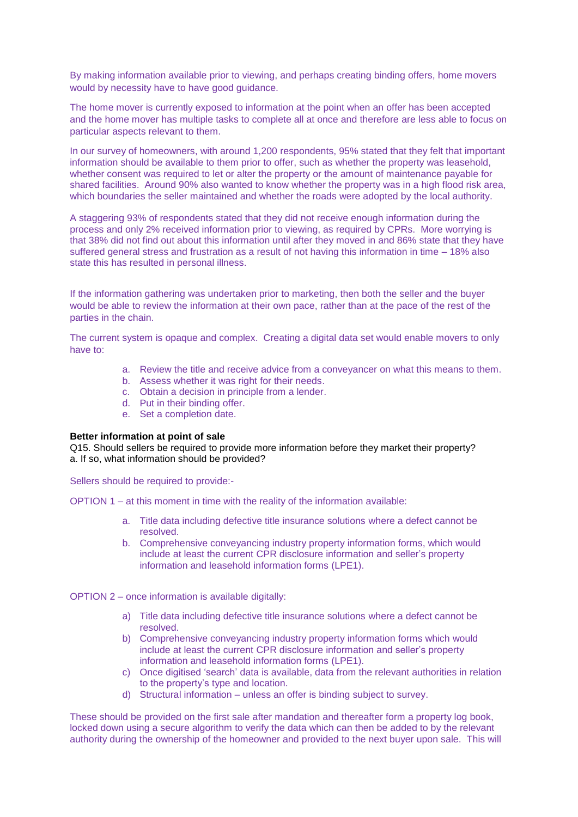By making information available prior to viewing, and perhaps creating binding offers, home movers would by necessity have to have good guidance.

The home mover is currently exposed to information at the point when an offer has been accepted and the home mover has multiple tasks to complete all at once and therefore are less able to focus on particular aspects relevant to them.

In our survey of homeowners, with around 1,200 respondents, 95% stated that they felt that important information should be available to them prior to offer, such as whether the property was leasehold, whether consent was required to let or alter the property or the amount of maintenance payable for shared facilities. Around 90% also wanted to know whether the property was in a high flood risk area, which boundaries the seller maintained and whether the roads were adopted by the local authority.

A staggering 93% of respondents stated that they did not receive enough information during the process and only 2% received information prior to viewing, as required by CPRs. More worrying is that 38% did not find out about this information until after they moved in and 86% state that they have suffered general stress and frustration as a result of not having this information in time – 18% also state this has resulted in personal illness.

If the information gathering was undertaken prior to marketing, then both the seller and the buyer would be able to review the information at their own pace, rather than at the pace of the rest of the parties in the chain.

The current system is opaque and complex. Creating a digital data set would enable movers to only have to:

- a. Review the title and receive advice from a conveyancer on what this means to them.
- b. Assess whether it was right for their needs.
- c. Obtain a decision in principle from a lender.
- d. Put in their binding offer.
- e. Set a completion date.

## **Better information at point of sale**

Q15. Should sellers be required to provide more information before they market their property? a. If so, what information should be provided?

Sellers should be required to provide:-

OPTION 1 – at this moment in time with the reality of the information available:

- a. Title data including defective title insurance solutions where a defect cannot be resolved.
- b. Comprehensive conveyancing industry property information forms, which would include at least the current CPR disclosure information and seller's property information and leasehold information forms (LPE1).
- OPTION 2 once information is available digitally:
	- a) Title data including defective title insurance solutions where a defect cannot be resolved.
	- b) Comprehensive conveyancing industry property information forms which would include at least the current CPR disclosure information and seller's property information and leasehold information forms (LPE1).
	- c) Once digitised 'search' data is available, data from the relevant authorities in relation to the property's type and location.
	- d) Structural information unless an offer is binding subject to survey.

These should be provided on the first sale after mandation and thereafter form a property log book, locked down using a secure algorithm to verify the data which can then be added to by the relevant authority during the ownership of the homeowner and provided to the next buyer upon sale. This will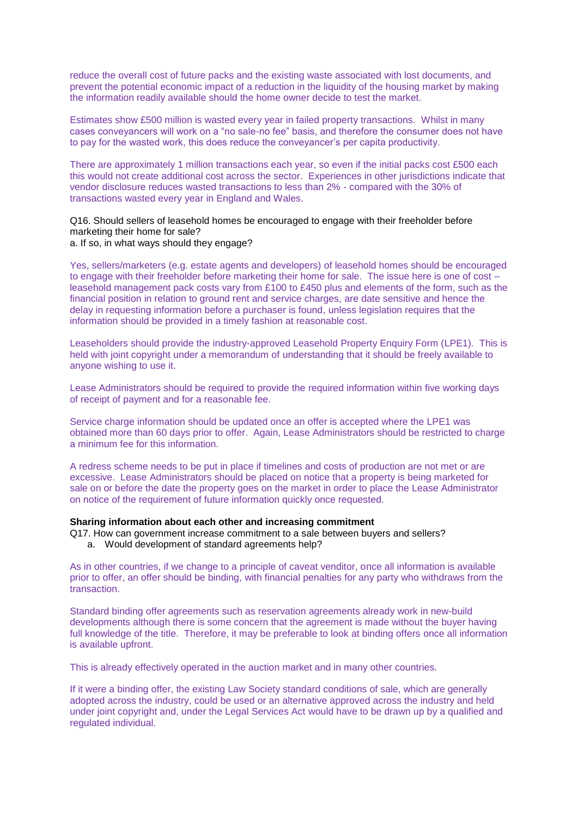reduce the overall cost of future packs and the existing waste associated with lost documents, and prevent the potential economic impact of a reduction in the liquidity of the housing market by making the information readily available should the home owner decide to test the market.

Estimates show £500 million is wasted every year in failed property transactions. Whilst in many cases conveyancers will work on a "no sale-no fee" basis, and therefore the consumer does not have to pay for the wasted work, this does reduce the conveyancer's per capita productivity.

There are approximately 1 million transactions each year, so even if the initial packs cost £500 each this would not create additional cost across the sector. Experiences in other jurisdictions indicate that vendor disclosure reduces wasted transactions to less than 2% - compared with the 30% of transactions wasted every year in England and Wales.

Q16. Should sellers of leasehold homes be encouraged to engage with their freeholder before marketing their home for sale?

## a. If so, in what ways should they engage?

Yes, sellers/marketers (e.g. estate agents and developers) of leasehold homes should be encouraged to engage with their freeholder before marketing their home for sale. The issue here is one of cost – leasehold management pack costs vary from £100 to £450 plus and elements of the form, such as the financial position in relation to ground rent and service charges, are date sensitive and hence the delay in requesting information before a purchaser is found, unless legislation requires that the information should be provided in a timely fashion at reasonable cost.

Leaseholders should provide the industry-approved Leasehold Property Enquiry Form (LPE1). This is held with joint copyright under a memorandum of understanding that it should be freely available to anyone wishing to use it.

Lease Administrators should be required to provide the required information within five working days of receipt of payment and for a reasonable fee.

Service charge information should be updated once an offer is accepted where the LPE1 was obtained more than 60 days prior to offer. Again, Lease Administrators should be restricted to charge a minimum fee for this information.

A redress scheme needs to be put in place if timelines and costs of production are not met or are excessive. Lease Administrators should be placed on notice that a property is being marketed for sale on or before the date the property goes on the market in order to place the Lease Administrator on notice of the requirement of future information quickly once requested.

## **Sharing information about each other and increasing commitment**

- Q17. How can government increase commitment to a sale between buyers and sellers?
	- a. Would development of standard agreements help?

As in other countries, if we change to a principle of caveat venditor, once all information is available prior to offer, an offer should be binding, with financial penalties for any party who withdraws from the transaction.

Standard binding offer agreements such as reservation agreements already work in new-build developments although there is some concern that the agreement is made without the buyer having full knowledge of the title. Therefore, it may be preferable to look at binding offers once all information is available upfront.

This is already effectively operated in the auction market and in many other countries.

If it were a binding offer, the existing Law Society standard conditions of sale, which are generally adopted across the industry, could be used or an alternative approved across the industry and held under joint copyright and, under the Legal Services Act would have to be drawn up by a qualified and regulated individual.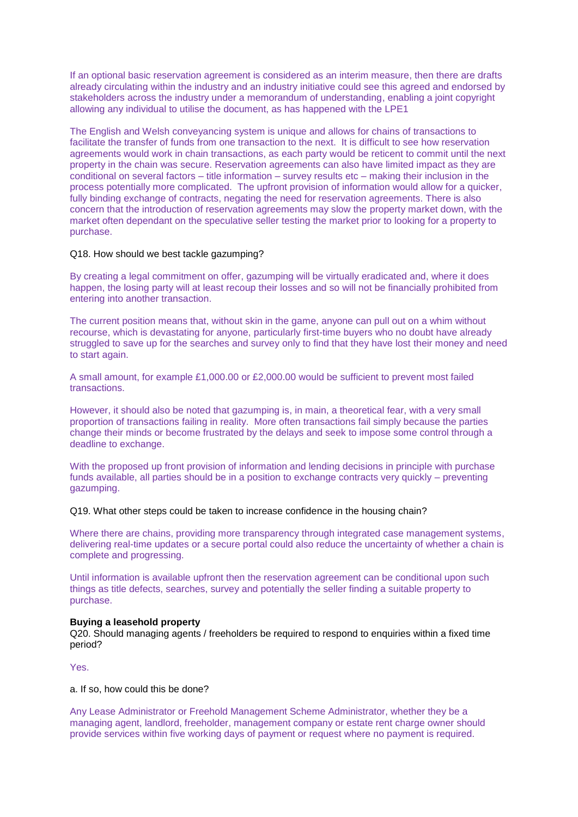If an optional basic reservation agreement is considered as an interim measure, then there are drafts already circulating within the industry and an industry initiative could see this agreed and endorsed by stakeholders across the industry under a memorandum of understanding, enabling a joint copyright allowing any individual to utilise the document, as has happened with the LPE1

The English and Welsh conveyancing system is unique and allows for chains of transactions to facilitate the transfer of funds from one transaction to the next. It is difficult to see how reservation agreements would work in chain transactions, as each party would be reticent to commit until the next property in the chain was secure. Reservation agreements can also have limited impact as they are conditional on several factors – title information – survey results etc – making their inclusion in the process potentially more complicated. The upfront provision of information would allow for a quicker, fully binding exchange of contracts, negating the need for reservation agreements. There is also concern that the introduction of reservation agreements may slow the property market down, with the market often dependant on the speculative seller testing the market prior to looking for a property to purchase.

## Q18. How should we best tackle gazumping?

By creating a legal commitment on offer, gazumping will be virtually eradicated and, where it does happen, the losing party will at least recoup their losses and so will not be financially prohibited from entering into another transaction.

The current position means that, without skin in the game, anyone can pull out on a whim without recourse, which is devastating for anyone, particularly first-time buyers who no doubt have already struggled to save up for the searches and survey only to find that they have lost their money and need to start again.

A small amount, for example £1,000.00 or £2,000.00 would be sufficient to prevent most failed transactions.

However, it should also be noted that gazumping is, in main, a theoretical fear, with a very small proportion of transactions failing in reality. More often transactions fail simply because the parties change their minds or become frustrated by the delays and seek to impose some control through a deadline to exchange.

With the proposed up front provision of information and lending decisions in principle with purchase funds available, all parties should be in a position to exchange contracts very quickly – preventing gazumping.

### Q19. What other steps could be taken to increase confidence in the housing chain?

Where there are chains, providing more transparency through integrated case management systems, delivering real-time updates or a secure portal could also reduce the uncertainty of whether a chain is complete and progressing.

Until information is available upfront then the reservation agreement can be conditional upon such things as title defects, searches, survey and potentially the seller finding a suitable property to purchase.

### **Buying a leasehold property**

Q20. Should managing agents / freeholders be required to respond to enquiries within a fixed time period?

Yes.

### a. If so, how could this be done?

Any Lease Administrator or Freehold Management Scheme Administrator, whether they be a managing agent, landlord, freeholder, management company or estate rent charge owner should provide services within five working days of payment or request where no payment is required.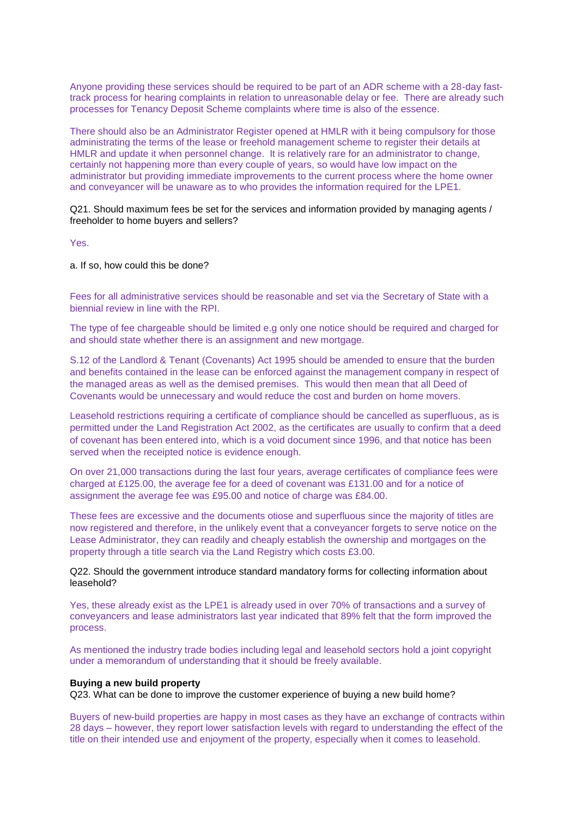Anyone providing these services should be required to be part of an ADR scheme with a 28-day fasttrack process for hearing complaints in relation to unreasonable delay or fee. There are already such processes for Tenancy Deposit Scheme complaints where time is also of the essence.

There should also be an Administrator Register opened at HMLR with it being compulsory for those administrating the terms of the lease or freehold management scheme to register their details at HMLR and update it when personnel change. It is relatively rare for an administrator to change, certainly not happening more than every couple of years, so would have low impact on the administrator but providing immediate improvements to the current process where the home owner and conveyancer will be unaware as to who provides the information required for the LPE1.

Q21. Should maximum fees be set for the services and information provided by managing agents / freeholder to home buyers and sellers?

Yes.

a. If so, how could this be done?

Fees for all administrative services should be reasonable and set via the Secretary of State with a biennial review in line with the RPI.

The type of fee chargeable should be limited e.g only one notice should be required and charged for and should state whether there is an assignment and new mortgage.

S.12 of the Landlord & Tenant (Covenants) Act 1995 should be amended to ensure that the burden and benefits contained in the lease can be enforced against the management company in respect of the managed areas as well as the demised premises. This would then mean that all Deed of Covenants would be unnecessary and would reduce the cost and burden on home movers.

Leasehold restrictions requiring a certificate of compliance should be cancelled as superfluous, as is permitted under the Land Registration Act 2002, as the certificates are usually to confirm that a deed of covenant has been entered into, which is a void document since 1996, and that notice has been served when the receipted notice is evidence enough.

On over 21,000 transactions during the last four years, average certificates of compliance fees were charged at £125.00, the average fee for a deed of covenant was £131.00 and for a notice of assignment the average fee was £95.00 and notice of charge was £84.00.

These fees are excessive and the documents otiose and superfluous since the majority of titles are now registered and therefore, in the unlikely event that a conveyancer forgets to serve notice on the Lease Administrator, they can readily and cheaply establish the ownership and mortgages on the property through a title search via the Land Registry which costs £3.00.

Q22. Should the government introduce standard mandatory forms for collecting information about leasehold?

Yes, these already exist as the LPE1 is already used in over 70% of transactions and a survey of conveyancers and lease administrators last year indicated that 89% felt that the form improved the process.

As mentioned the industry trade bodies including legal and leasehold sectors hold a joint copyright under a memorandum of understanding that it should be freely available.

## **Buying a new build property**

Q23. What can be done to improve the customer experience of buying a new build home?

Buyers of new-build properties are happy in most cases as they have an exchange of contracts within 28 days – however, they report lower satisfaction levels with regard to understanding the effect of the title on their intended use and enjoyment of the property, especially when it comes to leasehold.